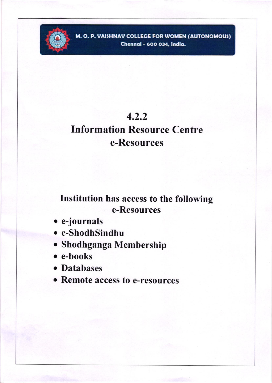

M. O. P. VAISHNAV COLLEGE FOR WOMEN (AUTONOMOUS) Chennai - 600 034, India.

## $4.2.2$

# **Information Resource Centre** e-Resources

## Institution has access to the following e-Resources

- e-journals
- e-ShodhSindhu
- · Shodhganga Membership
- $\bullet$  e-books
- Databases
- Remote access to e-resources